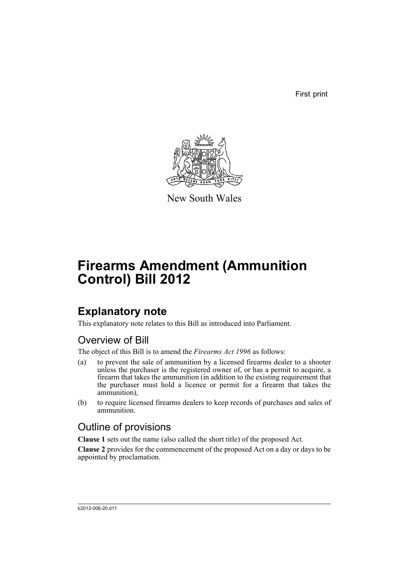First print



New South Wales

# **Firearms Amendment (Ammunition Control) Bill 2012**

## **Explanatory note**

This explanatory note relates to this Bill as introduced into Parliament.

## Overview of Bill

The object of this Bill is to amend the *Firearms Act 1996* as follows:

- (a) to prevent the sale of ammunition by a licensed firearms dealer to a shooter unless the purchaser is the registered owner of, or has a permit to acquire, a firearm that takes the ammunition (in addition to the existing requirement that the purchaser must hold a licence or permit for a firearm that takes the ammunition),
- (b) to require licensed firearms dealers to keep records of purchases and sales of ammunition.

### Outline of provisions

**Clause 1** sets out the name (also called the short title) of the proposed Act.

**Clause 2** provides for the commencement of the proposed Act on a day or days to be appointed by proclamation.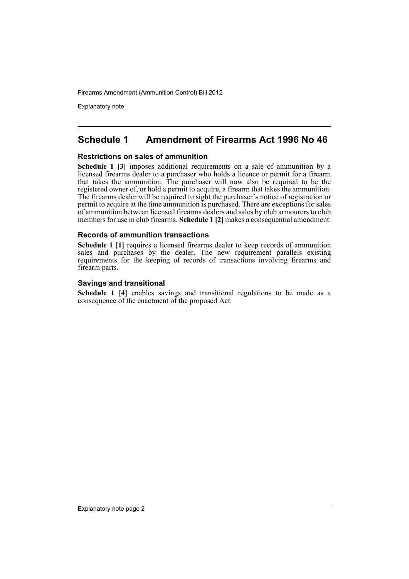Explanatory note

### **Schedule 1 Amendment of Firearms Act 1996 No 46**

#### **Restrictions on sales of ammunition**

**Schedule 1 [3]** imposes additional requirements on a sale of ammunition by a licensed firearms dealer to a purchaser who holds a licence or permit for a firearm that takes the ammunition. The purchaser will now also be required to be the registered owner of, or hold a permit to acquire, a firearm that takes the ammunition. The firearms dealer will be required to sight the purchaser's notice of registration or permit to acquire at the time ammunition is purchased. There are exceptions for sales of ammunition between licensed firearms dealers and sales by club armourers to club members for use in club firearms. **Schedule 1 [2]** makes a consequential amendment.

#### **Records of ammunition transactions**

**Schedule 1 [1]** requires a licensed firearms dealer to keep records of ammunition sales and purchases by the dealer. The new requirement parallels existing requirements for the keeping of records of transactions involving firearms and firearm parts.

#### **Savings and transitional**

**Schedule 1 [4]** enables savings and transitional regulations to be made as a consequence of the enactment of the proposed Act.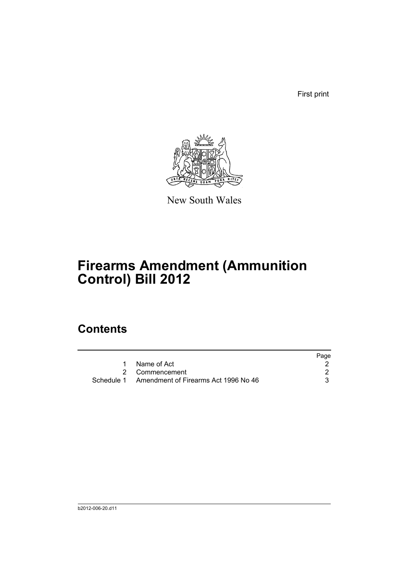First print



New South Wales

# **Firearms Amendment (Ammunition Control) Bill 2012**

## **Contents**

|                                                 | Page |
|-------------------------------------------------|------|
| Name of Act                                     |      |
| 2 Commencement                                  |      |
| Schedule 1 Amendment of Firearms Act 1996 No 46 |      |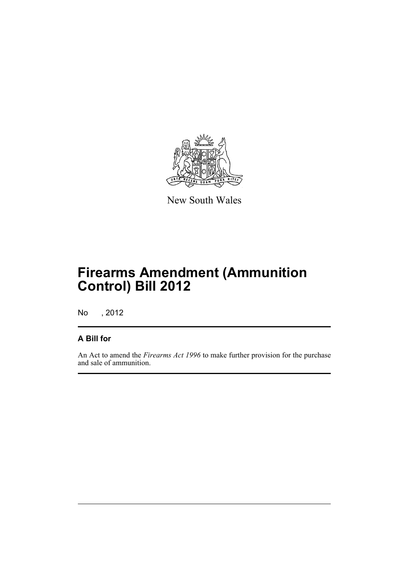

New South Wales

# **Firearms Amendment (Ammunition Control) Bill 2012**

No , 2012

### **A Bill for**

An Act to amend the *Firearms Act 1996* to make further provision for the purchase and sale of ammunition.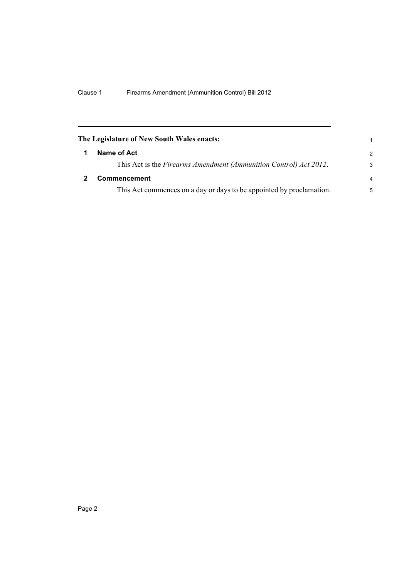<span id="page-5-1"></span><span id="page-5-0"></span>

| The Legislature of New South Wales enacts: |                                                                      | 1              |
|--------------------------------------------|----------------------------------------------------------------------|----------------|
|                                            | Name of Act                                                          | $\mathcal{P}$  |
|                                            | This Act is the Firearms Amendment (Ammunition Control) Act 2012.    | 3              |
|                                            | <b>Commencement</b>                                                  | $\overline{a}$ |
|                                            | This Act commences on a day or days to be appointed by proclamation. | 5              |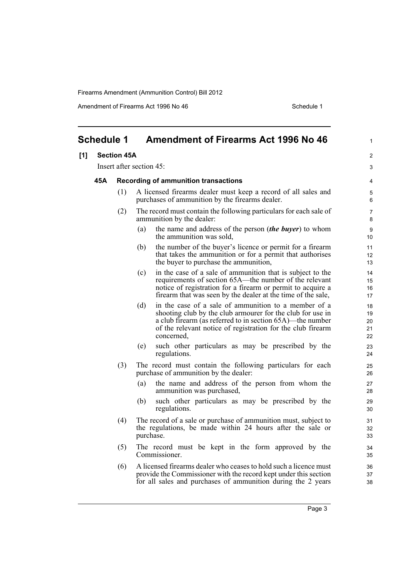Amendment of Firearms Act 1996 No 46 Schedule 1

<span id="page-6-0"></span>

| <b>Schedule 1</b> |                                                    |     | <b>Amendment of Firearms Act 1996 No 46</b>                                                                                                                                                                                                                         | 1                          |
|-------------------|----------------------------------------------------|-----|---------------------------------------------------------------------------------------------------------------------------------------------------------------------------------------------------------------------------------------------------------------------|----------------------------|
| [1]               | <b>Section 45A</b>                                 |     |                                                                                                                                                                                                                                                                     | $\overline{2}$             |
|                   | Insert after section 45:                           |     |                                                                                                                                                                                                                                                                     | 3                          |
|                   | 45A<br><b>Recording of ammunition transactions</b> |     |                                                                                                                                                                                                                                                                     | 4                          |
|                   |                                                    | (1) | A licensed firearms dealer must keep a record of all sales and<br>purchases of ammunition by the firearms dealer.                                                                                                                                                   | 5<br>6                     |
|                   |                                                    | (2) | The record must contain the following particulars for each sale of<br>ammunition by the dealer:                                                                                                                                                                     | 7<br>8                     |
|                   |                                                    |     | (a)<br>the name and address of the person <i>(the buyer)</i> to whom<br>the ammunition was sold,                                                                                                                                                                    | 9<br>10                    |
|                   |                                                    |     | the number of the buyer's licence or permit for a firearm<br>(b)<br>that takes the ammunition or for a permit that authorises<br>the buyer to purchase the ammunition,                                                                                              | 11<br>12<br>13             |
|                   |                                                    |     | in the case of a sale of ammunition that is subject to the<br>(c)<br>requirements of section 65A—the number of the relevant<br>notice of registration for a firearm or permit to acquire a<br>firearm that was seen by the dealer at the time of the sale,          | 14<br>15<br>16<br>17       |
|                   |                                                    |     | in the case of a sale of ammunition to a member of a<br>(d)<br>shooting club by the club armourer for the club for use in<br>a club firearm (as referred to in section 65A)—the number<br>of the relevant notice of registration for the club firearm<br>concerned, | 18<br>19<br>20<br>21<br>22 |
|                   |                                                    |     | such other particulars as may be prescribed by the<br>(e)<br>regulations.                                                                                                                                                                                           | 23<br>24                   |
|                   |                                                    | (3) | The record must contain the following particulars for each<br>purchase of ammunition by the dealer:                                                                                                                                                                 | 25<br>26                   |
|                   |                                                    |     | (a)<br>the name and address of the person from whom the<br>ammunition was purchased,                                                                                                                                                                                | 27<br>28                   |
|                   |                                                    |     | such other particulars as may be prescribed by the<br>(b)<br>regulations.                                                                                                                                                                                           | 29<br>30                   |
|                   |                                                    | (4) | The record of a sale or purchase of ammunition must, subject to<br>the regulations, be made within 24 hours after the sale or<br>purchase.                                                                                                                          | 31<br>32<br>33             |
|                   |                                                    | (5) | The record must be kept in the form approved by the<br>Commissioner.                                                                                                                                                                                                | 34<br>35                   |
|                   |                                                    | (6) | A licensed firearms dealer who ceases to hold such a licence must<br>provide the Commissioner with the record kept under this section<br>for all sales and purchases of ammunition during the 2 years                                                               | 36<br>37<br>38             |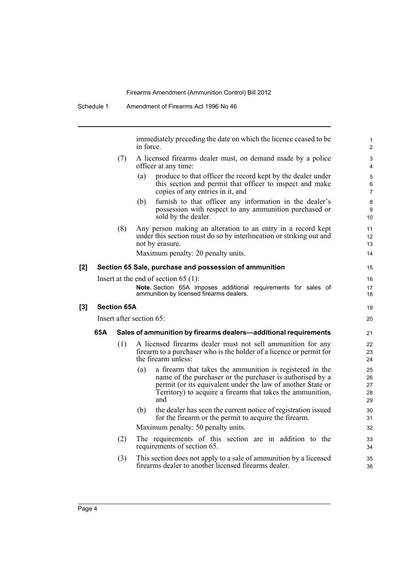|     |     |                    | immediately preceding the date on which the licence ceased to be<br>in force.                                                                                                                                                                                    | 1<br>$\overline{2}$        |
|-----|-----|--------------------|------------------------------------------------------------------------------------------------------------------------------------------------------------------------------------------------------------------------------------------------------------------|----------------------------|
|     |     | (7)                | A licensed firearms dealer must, on demand made by a police<br>officer at any time:                                                                                                                                                                              | 3<br>4                     |
|     |     |                    | produce to that officer the record kept by the dealer under<br>(a)<br>this section and permit that officer to inspect and make<br>copies of any entries in it, and                                                                                               | 5<br>6<br>$\overline{7}$   |
|     |     |                    | furnish to that officer any information in the dealer's<br>(b)<br>possession with respect to any ammunition purchased or<br>sold by the dealer.                                                                                                                  | $\bf 8$<br>9<br>10         |
|     |     | (8)                | Any person making an alteration to an entry in a record kept<br>under this section must do so by interlineation or striking out and<br>not by erasure.                                                                                                           | 11<br>12<br>13             |
|     |     |                    | Maximum penalty: 20 penalty units.                                                                                                                                                                                                                               | 14                         |
| [2] |     |                    | Section 65 Sale, purchase and possession of ammunition                                                                                                                                                                                                           | 15                         |
|     |     |                    | Insert at the end of section $65(1)$ :                                                                                                                                                                                                                           | 16                         |
|     |     |                    | Note. Section 65A imposes additional requirements for sales of<br>ammunition by licensed firearms dealers.                                                                                                                                                       | 17<br>18                   |
| [3] |     | <b>Section 65A</b> |                                                                                                                                                                                                                                                                  | 19                         |
|     |     |                    | Insert after section 65:                                                                                                                                                                                                                                         | 20                         |
|     | 65A |                    | Sales of ammunition by firearms dealers-additional requirements                                                                                                                                                                                                  | 21                         |
|     |     | (1)                | A licensed firearms dealer must not sell ammunition for any<br>firearm to a purchaser who is the holder of a licence or permit for<br>the firearm unless:                                                                                                        | 22<br>23<br>24             |
|     |     |                    | (a)<br>a firearm that takes the ammunition is registered in the<br>name of the purchaser or the purchaser is authorised by a<br>permit (or its equivalent under the law of another State or<br>Territory) to acquire a firearm that takes the ammunition,<br>and | 25<br>26<br>27<br>28<br>29 |
|     |     |                    | (b)<br>the dealer has seen the current notice of registration issued<br>for the firearm or the permit to acquire the firearm.                                                                                                                                    | 30<br>31                   |
|     |     |                    | Maximum penalty: 50 penalty units.                                                                                                                                                                                                                               | 32                         |
|     |     | (2)                | The requirements of this section are in addition to the<br>requirements of section 65.                                                                                                                                                                           | 33<br>34                   |
|     |     | (3)                | This section does not apply to a sale of ammunition by a licensed<br>firearms dealer to another licensed firearms dealer.                                                                                                                                        | 35<br>36                   |